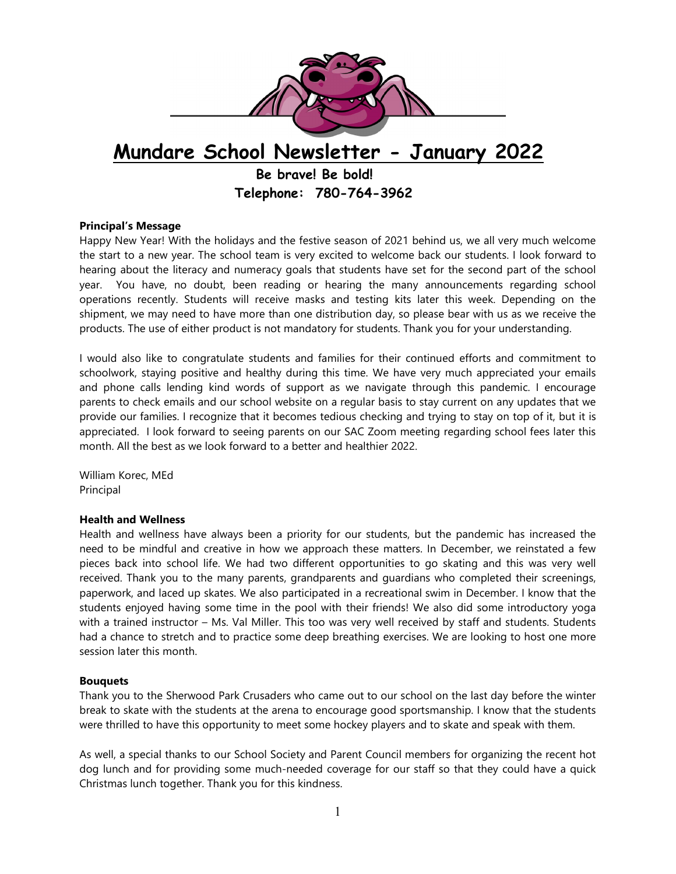

**Principal's Message**

Happy New Year! With the holidays and the festive season of 2021 behind us, we all very much welcome the start to a new year. The school team is very excited to welcome back our students. I look forward to hearing about the literacy and numeracy goals that students have set for the second part of the school year. You have, no doubt, been reading or hearing the many announcements regarding school operations recently. Students will receive masks and testing kits later this week. Depending on the shipment, we may need to have more than one distribution day, so please bear with us as we receive the products. The use of either product is not mandatory for students. Thank you for your understanding.

I would also like to congratulate students and families for their continued efforts and commitment to schoolwork, staying positive and healthy during this time. We have very much appreciated your emails and phone calls lending kind words of support as we navigate through this pandemic. I encourage parents to check emails and our school website on a regular basis to stay current on any updates that we provide our families. I recognize that it becomes tedious checking and trying to stay on top of it, but it is appreciated. I look forward to seeing parents on our SAC Zoom meeting regarding school fees later this month. All the best as we look forward to a better and healthier 2022.

William Korec, MEd Principal

# **Health and Wellness**

Health and wellness have always been a priority for our students, but the pandemic has increased the need to be mindful and creative in how we approach these matters. In December, we reinstated a few pieces back into school life. We had two different opportunities to go skating and this was very well received. Thank you to the many parents, grandparents and guardians who completed their screenings, paperwork, and laced up skates. We also participated in a recreational swim in December. I know that the students enjoyed having some time in the pool with their friends! We also did some introductory yoga with a trained instructor – Ms. Val Miller. This too was very well received by staff and students. Students had a chance to stretch and to practice some deep breathing exercises. We are looking to host one more session later this month.

#### **Bouquets**

Thank you to the Sherwood Park Crusaders who came out to our school on the last day before the winter break to skate with the students at the arena to encourage good sportsmanship. I know that the students were thrilled to have this opportunity to meet some hockey players and to skate and speak with them.

As well, a special thanks to our School Society and Parent Council members for organizing the recent hot dog lunch and for providing some much-needed coverage for our staff so that they could have a quick Christmas lunch together. Thank you for this kindness.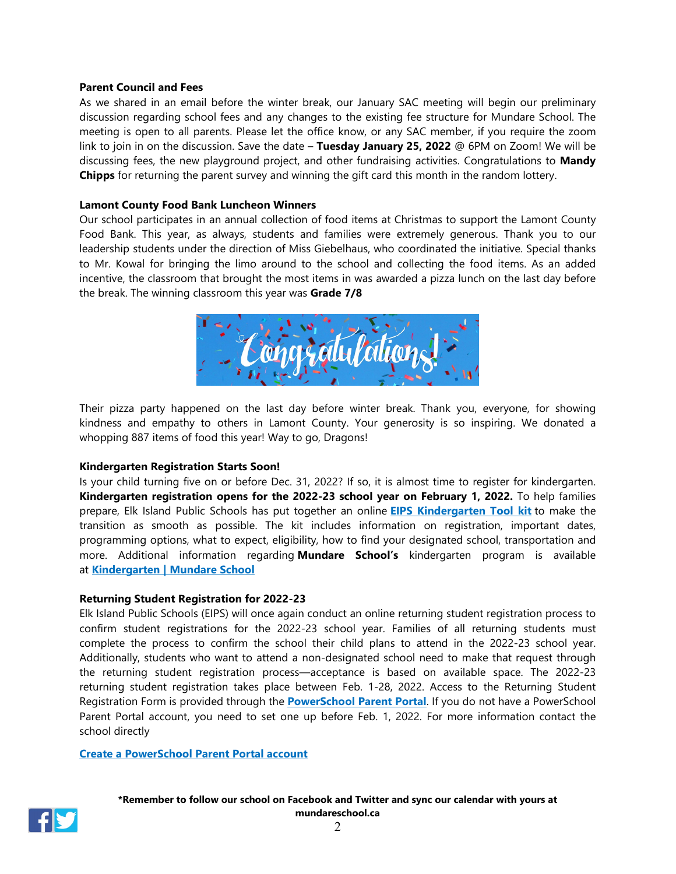#### **Parent Council and Fees**

As we shared in an email before the winter break, our January SAC meeting will begin our preliminary discussion regarding school fees and any changes to the existing fee structure for Mundare School. The meeting is open to all parents. Please let the office know, or any SAC member, if you require the zoom link to join in on the discussion. Save the date – **Tuesday January 25, 2022** @ 6PM on Zoom! We will be discussing fees, the new playground project, and other fundraising activities. Congratulations to **Mandy Chipps** for returning the parent survey and winning the gift card this month in the random lottery.

# **Lamont County Food Bank Luncheon Winners**

Our school participates in an annual collection of food items at Christmas to support the Lamont County Food Bank. This year, as always, students and families were extremely generous. Thank you to our leadership students under the direction of Miss Giebelhaus, who coordinated the initiative. Special thanks to Mr. Kowal for bringing the limo around to the school and collecting the food items. As an added incentive, the classroom that brought the most items in was awarded a pizza lunch on the last day before the break. The winning classroom this year was **Grade 7/8**



Their pizza party happened on the last day before winter break. Thank you, everyone, for showing kindness and empathy to others in Lamont County. Your generosity is so inspiring. We donated a whopping 887 items of food this year! Way to go, Dragons!

# **Kindergarten Registration Starts Soon!**

Is your child turning five on or before Dec. 31, 2022? If so, it is almost time to register for kindergarten. **Kindergarten registration opens for the 2022-23 school year on February 1, 2022.** To help families prepare, Elk Island Public Schools has put together an online **EIPS [Kindergarten](http://www.eips.ca/kindergarten) Tool kit** to make the transition as smooth as possible. The kit includes information on registration, important dates, programming options, what to expect, eligibility, how to find your designated school, transportation and more. Additional information regarding **Mundare School's** kindergarten program is available at **[Kindergarten | Mundare School](https://www.mundareschool.ca/programs/kindergarten)**

# **Returning Student Registration for 2022-23**

Elk Island Public Schools (EIPS) will once again conduct an online returning student registration process to confirm student registrations for the 2022-23 school year. Families of all returning students must complete the process to confirm the school their child plans to attend in the 2022-23 school year. Additionally, students who want to attend a non-designated school need to make that request through the returning student registration process—acceptance is based on available space. The 2022-23 returning student registration takes place between Feb. 1-28, 2022. Access to the Returning Student Registration Form is provided through the **[PowerSchool](https://powerschool.eips.ca/public/home.html) Parent Portal**. If you do not have a PowerSchool Parent Portal account, you need to set one up before Feb. 1, 2022. For more information contact the school directly

#### **Create a [PowerSchool](https://www.eips.ca/schools/powerschool/parent-portal) Parent Portal account**



**\*Remember to follow our school on Facebook and Twitter and sync our calendar with yours at mundareschool.ca**

 $\mathfrak{D}$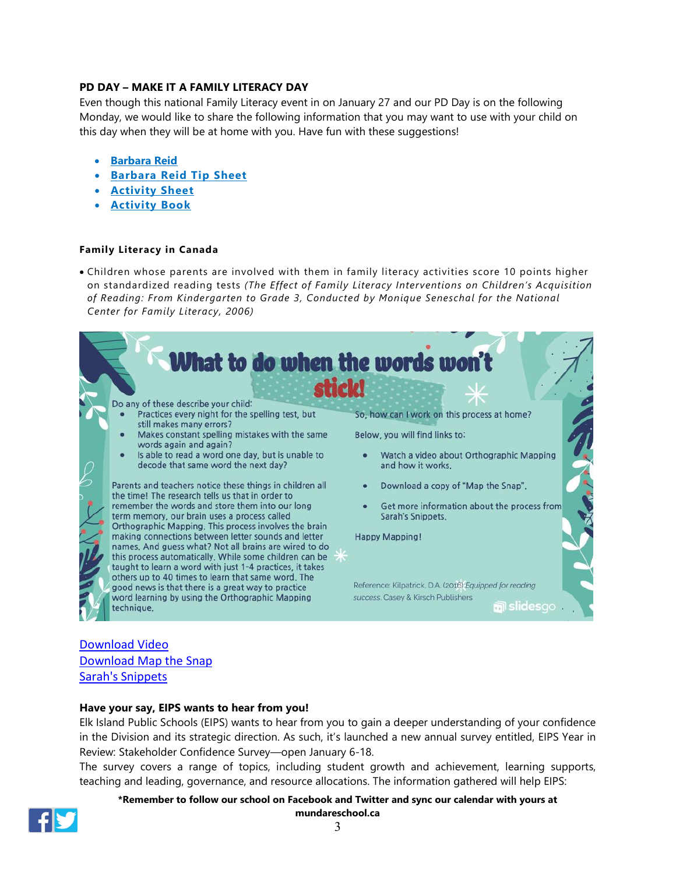# **PD DAY – MAKE IT A FAMILY LITERACY DAY**

Even though this national Family Literacy event in on January 27 and our PD Day is on the following Monday, we would like to share the following information that you may want to use with your child on this day when they will be at home with you. Have fun with these suggestions!

- **[Barbara Reid](https://barbarareid.ca/)**
- **[Barbara](https://abclifeliteracy.ca/wp-content/uploads/2021/11/FLD-2022-Barbara-Reid-TipSheet-EN.pdf) Reid Tip Sheet**
- **[Activity](https://abclifeliteracy.ca/wp-content/uploads/2021/11/FLD-2022-Activity-Sheet-EN.pdf) Sheet**
- **[Activity](https://abclifeliteracy.ca/wp-content/uploads/2021/11/FLD-2022-Activity-Book-EN.pdf) Book**

#### **Family Literacy in Canada**

• Children whose parents are involved with them in family literacy activities score 10 points higher on standardized reading tests *(The Effect of Family Literacy Interventions on Children's Acquisition of Reading: From Kindergarten to Grade 3, Conducted by Monique Seneschal for the National Center for Family Literacy, 2006)*



# [Download](https://drive.google.com/file/d/1pjZVEv34Qoqp8fswqCOtUqCMEkDMxHOB/view?usp=sharing) Video [Download](https://drive.google.com/file/d/16CC7Rd7LDT-AYWve3Q7a7MODVL2SfH7_/view?usp=sharing) Map the Snap Sarah's [Snippets](https://sarahsnippets.com/how-do-we-learn-new-words-orthographic/)

# **Have your say, EIPS wants to hear from you!**

Elk Island Public Schools (EIPS) wants to hear from you to gain a deeper understanding of your confidence in the Division and its strategic direction. As such, it's launched a new annual survey entitled, EIPS Year in Review: Stakeholder Confidence Survey—open January 6-18.

The survey covers a range of topics, including student growth and achievement, learning supports, teaching and leading, governance, and resource allocations. The information gathered will help EIPS:

#### **\*Remember to follow our school on Facebook and Twitter and sync our calendar with yours at mundareschool.ca**

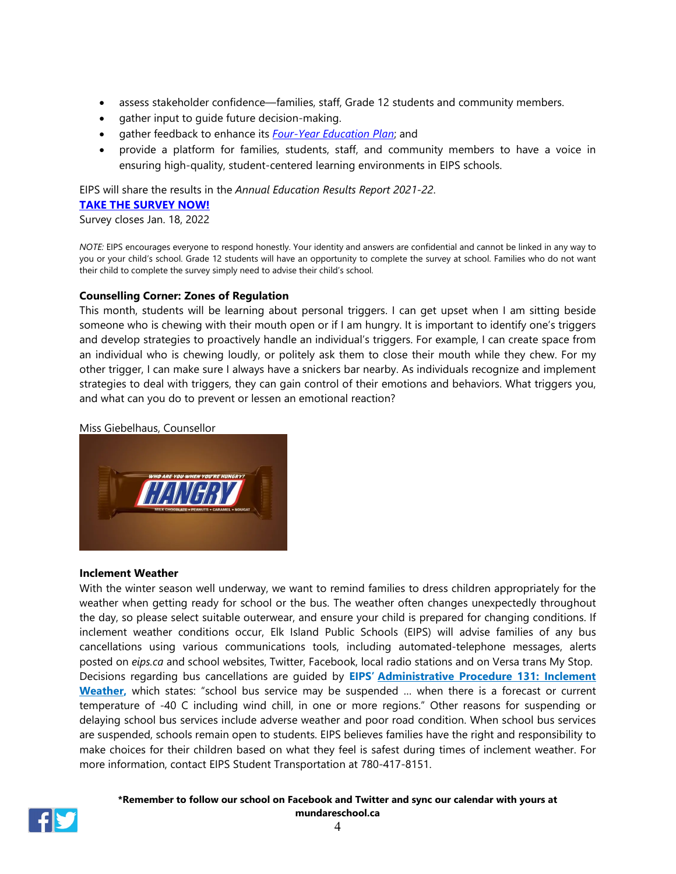- assess stakeholder confidence—families, staff, Grade 12 students and community members.
- gather input to guide future decision-making.
- gather feedback to enhance its *[Four-Year Education Plan](https://www.eips.ca/trustees/four-year-education-plan)*; and
- provide a platform for families, students, staff, and community members to have a voice in ensuring high-quality, student-centered learning environments in EIPS schools.

EIPS will share the results in the *Annual Education Results Report 2021-22*.

#### **[TAKE THE SURVEY NOW!](https://www.surveymonkey.com/r/MP5FTDJ)**

Survey closes Jan. 18, 2022

*NOTE:* EIPS encourages everyone to respond honestly. Your identity and answers are confidential and cannot be linked in any way to you or your child's school. Grade 12 students will have an opportunity to complete the survey at school. Families who do not want their child to complete the survey simply need to advise their child's school.

# **Counselling Corner: Zones of Regulation**

This month, students will be learning about personal triggers. I can get upset when I am sitting beside someone who is chewing with their mouth open or if I am hungry. It is important to identify one's triggers and develop strategies to proactively handle an individual's triggers. For example, I can create space from an individual who is chewing loudly, or politely ask them to close their mouth while they chew. For my other trigger, I can make sure I always have a snickers bar nearby. As individuals recognize and implement strategies to deal with triggers, they can gain control of their emotions and behaviors. What triggers you, and what can you do to prevent or lessen an emotional reaction?

#### Miss Giebelhaus, Counsellor



#### **Inclement Weather**

With the winter season well underway, we want to remind families to dress children appropriately for the weather when getting ready for school or the bus. The weather often changes unexpectedly throughout the day, so please select suitable outerwear, and ensure your child is prepared for changing conditions. If inclement weather conditions occur, Elk Island Public Schools (EIPS) will advise families of any bus cancellations using various communications tools, including automated-telephone messages, alerts posted on *[eips.ca](http://www.eips.ca/)* and school websites, Twitter, Facebook, local radio stations and on Versa trans My Stop. Decisions regarding bus cancellations are guided by **EIPS' [Administrative](https://www.eips.ca/about-us/administrative-procedures/131) Procedure 131: Inclement [Weather,](https://www.eips.ca/about-us/administrative-procedures/131)** which states: "school bus service may be suspended … when there is a forecast or current temperature of -40 C including wind chill, in one or more regions." Other reasons for suspending or delaying school bus services include adverse weather and poor road condition. When school bus services are suspended, schools remain open to students. EIPS believes families have the right and responsibility to make choices for their children based on what they feel is safest during times of inclement weather. For more information, contact EIPS Student Transportation at 780-417-8151.